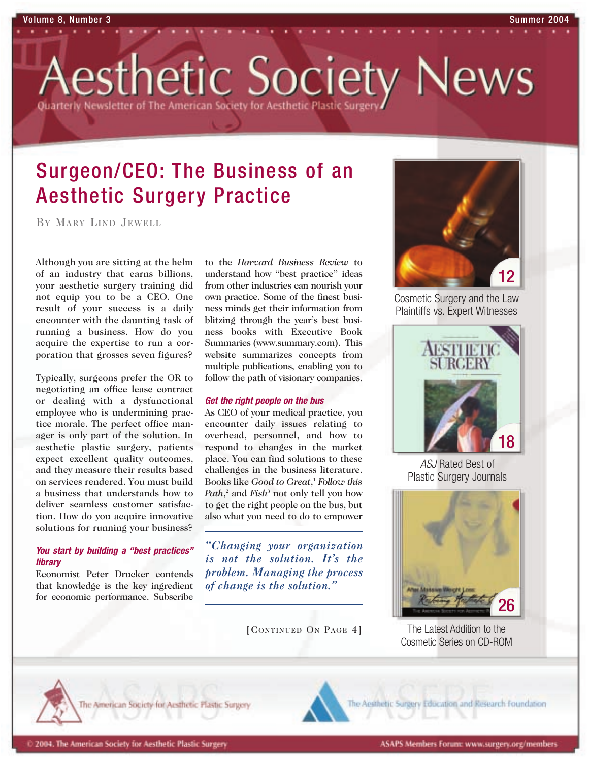esthetic Society News Quarterly Newsletter of The American Society for Aesthetic Plastic !

# Surgeon/CEO: The Business of an Aesthetic Surgery Practice

BY MARY LIND JEWELL

Although you are sitting at the helm of an industry that earns billions, your aesthetic surgery training did not equip you to be a CEO. One result of your success is a daily encounter with the daunting task of running a business. How do you acquire the expertise to run a corporation that grosses seven figures?

Typically, surgeons prefer the OR to negotiating an office lease contract or dealing with a dysfunctional employee who is undermining practice morale. The perfect office manager is only part of the solution. In aesthetic plastic surgery, patients expect excellent quality outcomes, and they measure their results based on services rendered. You must build a business that understands how to deliver seamless customer satisfaction. How do you acquire innovative solutions for running your business?

### *You start by building a "best practices" library*

Economist Peter Drucker contends that knowledge is the key ingredient for economic performance. Subscribe

to the *Harvard Business Review* to understand how "best practice" ideas from other industries can nourish your own practice. Some of the finest business minds get their information from blitzing through the year's best business books with Executive Book Summaries (www.summary.com). This website summarizes concepts from multiple publications, enabling you to follow the path of visionary companies.

### *Get the right people on the bus*

As CEO of your medical practice, you encounter daily issues relating to overhead, personnel, and how to respond to changes in the market place. You can find solutions to these challenges in the business literature. Books like *Good to Great*, <sup>1</sup> *Follow this Path*, <sup>2</sup> and *Fish*<sup>3</sup> not only tell you how to get the right people on the bus, but also what you need to do to empower

*"Changing your organization is not the solution. It's the problem. Managing the process of change is the solution."*

[CONTINUED ON PAGE 4]



Cosmetic Surgery and the Law Plaintiffs vs. Expert Witnesses



*ASJ* Rated Best of Plastic Surgery Journals



The Latest Addition to the Cosmetic Series on CD-ROM



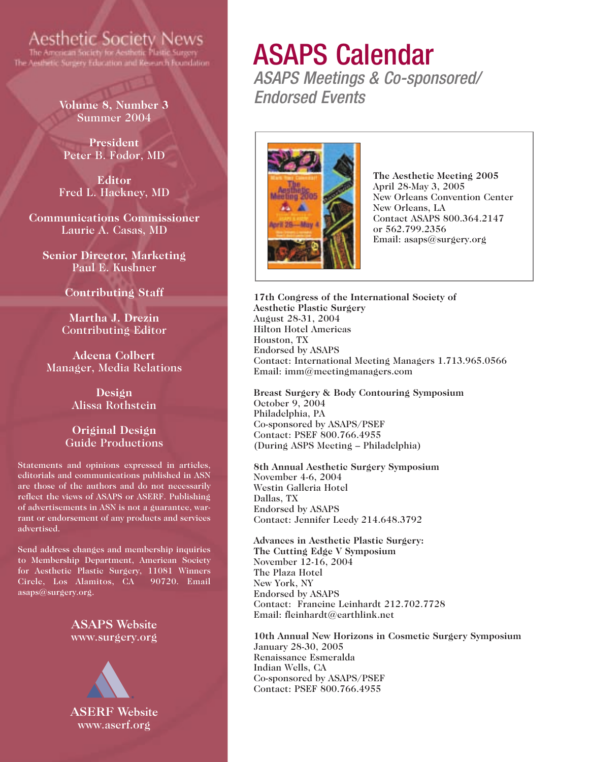## **Aesthetic Society News**

The Aesthetic Surgery Education and Kesearch Foundation

**Volume 8, Number 3** Summer 2004

**President** Peter B. Fodor, MD

**Editor** Fred L. Hackney, MD

**Communications Commissioner** Laurie A. Casas, MD

**Senior Director, Marketing** Paul E. Kushner

**Contributing Staff**

**Martha J. Drezin** Contributing Editor

**Adeena Colbert** Manager, Media Relations

> **Design** Alissa Rothstein

### **Original Design** Guide Productions

Statements and opinions expressed in articles, editorials and communications published in ASN are those of the authors and do not necessarily reflect the views of ASAPS or ASERF. Publishing of advertisements in ASN is not a guarantee, warrant or endorsement of any products and services advertised.

Send address changes and membership inquiries to Membership Department, American Society for Aesthetic Plastic Surgery, 11081 Winners Circle, Los Alamitos, CA 90720. Email asaps@surgery.org.

### **ASAPS Website** www.surgery.org



# ASAPS Calendar

*ASAPS Meetings & Co-sponsored/ Endorsed Events*



**The Aesthetic Meeting 2005** April 28-May 3, 2005 New Orleans Convention Center New Orleans, LA Contact ASAPS 800.364.2147 or 562.799.2356 Email: asaps@surgery.org

**17th Congress of the International Society of Aesthetic Plastic Surgery** August 28-31, 2004 Hilton Hotel Americas Houston, TX Endorsed by ASAPS Contact: International Meeting Managers 1.713.965.0566 Email: imm@meetingmanagers.com

**Breast Surgery & Body Contouring Symposium** October 9, 2004 Philadelphia, PA Co-sponsored by ASAPS/PSEF Contact: PSEF 800.766.4955 (During ASPS Meeting – Philadelphia)

**8th Annual Aesthetic Surgery Symposium** November 4-6, 2004 Westin Galleria Hotel Dallas, TX Endorsed by ASAPS Contact: Jennifer Leedy 214.648.3792

**Advances in Aesthetic Plastic Surgery: The Cutting Edge V Symposium** November 12-16, 2004 The Plaza Hotel New York, NY Endorsed by ASAPS Contact: Francine Leinhardt 212.702.7728 Email: fleinhardt@earthlink.net

**10th Annual New Horizons in Cosmetic Surgery Symposium** January 28-30, 2005 Renaissance Esmeralda Indian Wells, CA Co-sponsored by ASAPS/PSEF Contact: PSEF 800.766.4955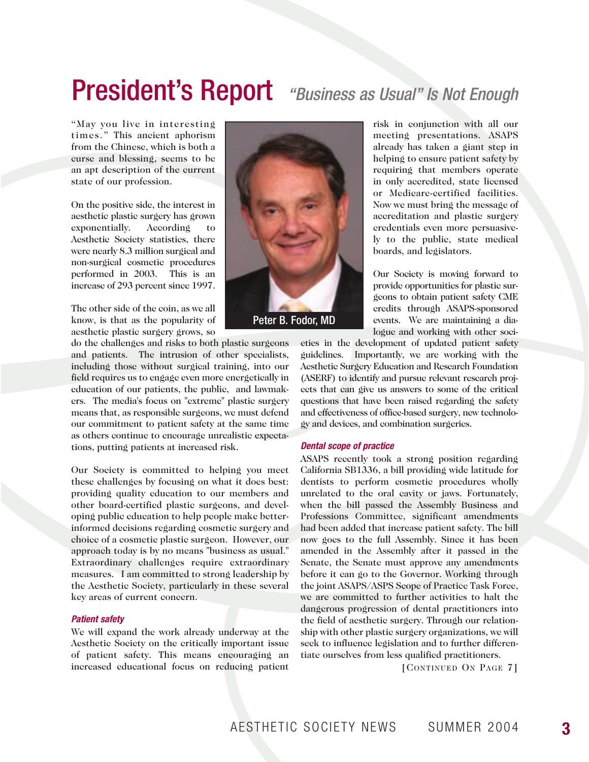# President's Report *"Business as Usual" Is Not Enough*

"May you live in interesting times." This ancient aphorism from the Chinese, which is both a curse and blessing, seems to be an apt description of the current state of our profession.

On the positive side, the interest in aesthetic plastic surgery has grown exponentially. According to Aesthetic Society statistics, there were nearly 8.3 million surgical and non-surgical cosmetic procedures performed in 2003. This is an increase of 293 percent since 1997.

The other side of the coin, as we all know, is that as the popularity of aesthetic plastic surgery grows, so

do the challenges and risks to both plastic surgeons and patients. The intrusion of other specialists, including those without surgical training, into our field requires us to engage even more energetically in education of our patients, the public, and lawmakers. The media's focus on "extreme" plastic surgery means that, as responsible surgeons, we must defend our commitment to patient safety at the same time as others continue to encourage unrealistic expectations, putting patients at increased risk.

Our Society is committed to helping you meet these challenges by focusing on what it does best: providing quality education to our members and other board-certified plastic surgeons, and developing public education to help people make betterinformed decisions regarding cosmetic surgery and choice of a cosmetic plastic surgeon. However, our approach today is by no means "business as usual." Extraordinary challenges require extraordinary measures. I am committed to strong leadership by the Aesthetic Society, particularly in these several key areas of current concern.

### *Patient safety*

We will expand the work already underway at the Aesthetic Society on the critically important issue of patient safety. This means encouraging an increased educational focus on reducing patient



risk in conjunction with all our meeting presentations. ASAPS already has taken a giant step in helping to ensure patient safety by requiring that members operate in only accredited, state licensed or Medicare-certified facilities. Now we must bring the message of accreditation and plastic surgery credentials even more persuasively to the public, state medical boards, and legislators.

Our Society is moving forward to provide opportunities for plastic surgeons to obtain patient safety CME credits through ASAPS-sponsored events. We are maintaining a dialogue and working with other soci-

eties in the development of updated patient safety guidelines. Importantly, we are working with the Aesthetic Surgery Education and Research Foundation (ASERF) to identify and pursue relevant research projects that can give us answers to some of the critical questions that have been raised regarding the safety and effectiveness of office-based surgery, new technology and devices, and combination surgeries.

#### *Dental scope of practice*

ASAPS recently took a strong position regarding California SB1336, a bill providing wide latitude for dentists to perform cosmetic procedures wholly unrelated to the oral cavity or jaws. Fortunately, when the bill passed the Assembly Business and Professions Committee, significant amendments had been added that increase patient safety. The bill now goes to the full Assembly. Since it has been amended in the Assembly after it passed in the Senate, the Senate must approve any amendments before it can go to the Governor. Working through the joint ASAPS/ASPS Scope of Practice Task Force, we are committed to further activities to halt the dangerous progression of dental practitioners into the field of aesthetic surgery. Through our relationship with other plastic surgery organizations, we will seek to influence legislation and to further differentiate ourselves from less qualified practitioners.

[CONTINUED ON PAGE 7]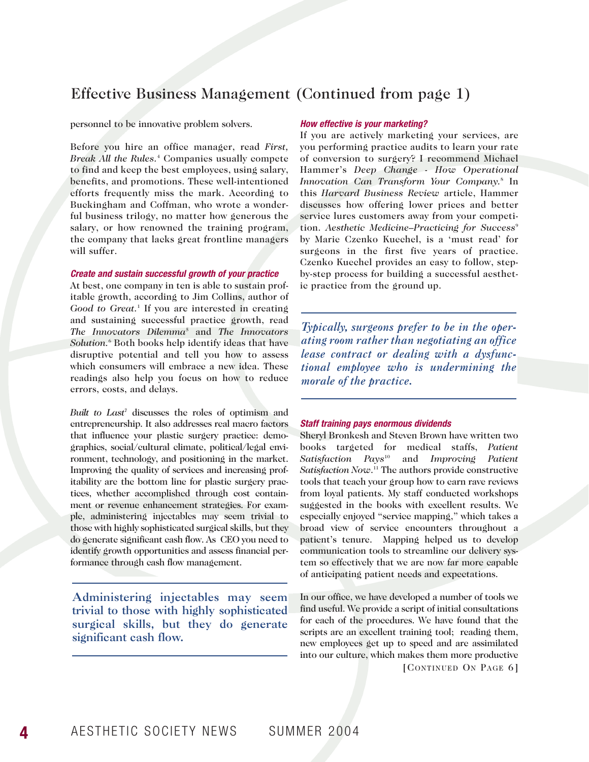### Effective Business Management (Continued from page 1)

#### personnel to be innovative problem solvers.

Before you hire an office manager, read *First, Break All the Rules.*<sup>4</sup> Companies usually compete to find and keep the best employees, using salary, benefits, and promotions. These well-intentioned efforts frequently miss the mark. According to Buckingham and Coffman, who wrote a wonderful business trilogy, no matter how generous the salary, or how renowned the training program, the company that lacks great frontline managers will suffer.

#### *Create and sustain successful growth of your practice*

At best, one company in ten is able to sustain profitable growth, according to Jim Collins, author of *Good to Great.*<sup>1</sup> If you are interested in creating and sustaining successful practice growth, read *The Innovators Dilemma*<sup>5</sup> and *The Innovators Solution.*<sup>6</sup> Both books help identify ideas that have disruptive potential and tell you how to assess which consumers will embrace a new idea. These readings also help you focus on how to reduce errors, costs, and delays.

*Built to Last*<sup>7</sup> discusses the roles of optimism and entrepreneurship. It also addresses real macro factors that influence your plastic surgery practice: demographics, social/cultural climate, political/legal environment, technology, and positioning in the market. Improving the quality of services and increasing profitability are the bottom line for plastic surgery practices, whether accomplished through cost containment or revenue enhancement strategies. For example, administering injectables may seem trivial to those with highly sophisticated surgical skills, but they do generate significant cash flow. As CEO you need to identify growth opportunities and assess financial performance through cash flow management.

Administering injectables may seem trivial to those with highly sophisticated surgical skills, but they do generate significant cash flow.

### *How effective is your marketing?*

If you are actively marketing your services, are you performing practice audits to learn your rate of conversion to surgery? I recommend Michael Hammer's *Deep Change - How Operational Innovation Can Transform Your Company.*<sup>8</sup> In this *Harvard Business Review* article, Hammer discusses how offering lower prices and better service lures customers away from your competition. Aesthetic Medicine–Practicing for Success<sup>9</sup> by Marie Czenko Kuechel, is a 'must read' for surgeons in the first five years of practice. Czenko Kuechel provides an easy to follow, stepby-step process for building a successful aesthetic practice from the ground up.

*Typically, surgeons prefer to be in the operating room rather than negotiating an office lease contract or dealing with a dysfunctional employee who is undermining the morale of the practice.* 

### *Staff training pays enormous dividends*

Sheryl Bronkesh and Steven Brown have written two books targeted for medical staffs, *Patient Satisfaction Pays*<sup>10</sup> and *Improving Patient Satisfaction Now*. <sup>11</sup> The authors provide constructive tools that teach your group how to earn rave reviews from loyal patients. My staff conducted workshops suggested in the books with excellent results. We especially enjoyed "service mapping," which takes a broad view of service encounters throughout a patient's tenure. Mapping helped us to develop communication tools to streamline our delivery system so effectively that we are now far more capable of anticipating patient needs and expectations.

In our office, we have developed a number of tools we find useful. We provide a script of initial consultations for each of the procedures. We have found that the scripts are an excellent training tool; reading them, new employees get up to speed and are assimilated into our culture, which makes them more productive

[CONTINUED ON PAGE 6]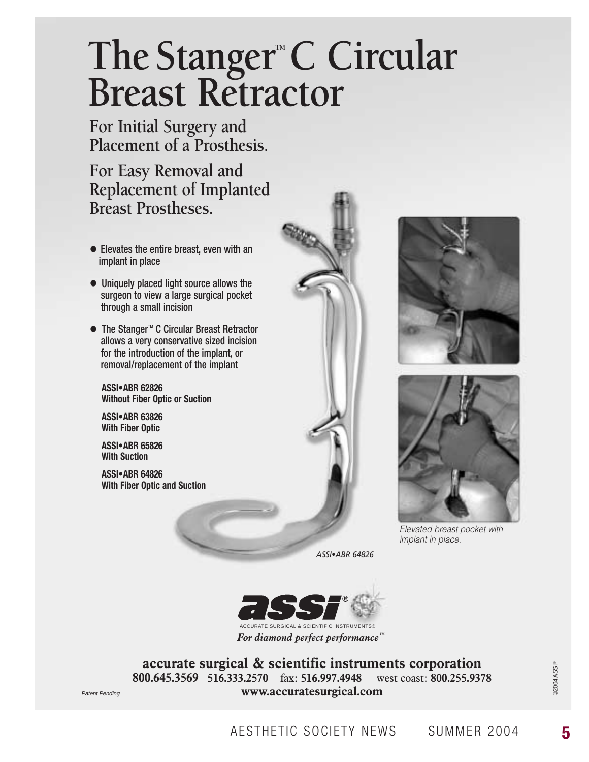# The Stanger<sup>™</sup>C Circular **Breast Retractor**

**For Initial Surgery and Placement of a Prosthesis.**

**For Easy Removal and Replacement of Implanted Breast Prostheses.**

- Elevates the entire breast, even with an implant in place
- Uniquely placed light source allows the surgeon to view a large surgical pocket through a small incision
- The Stanger<sup>™</sup> C Circular Breast Retractor allows a very conservative sized incision for the introduction of the implant, or removal/replacement of the implant

**ASSI•ABR 62826 Without Fiber Optic or Suction**

**ASSI•ABR 63826 With Fiber Optic**

**ASSI•ABR 65826 With Suction**

**ASSI•ABR 64826 With Fiber Optic and Suction**



*ASSI•ABR 64826*



**accurate surgical & scientific instruments corporation 800.645.3569 516.333.2570** fax: **516.997.4948** west coast: **800.255.9378** Patent Pending **www.accuratesurgical.com** 





*Elevated breast pocket with implant in place.*

©2004 ASSI®

**62004 ASSI®**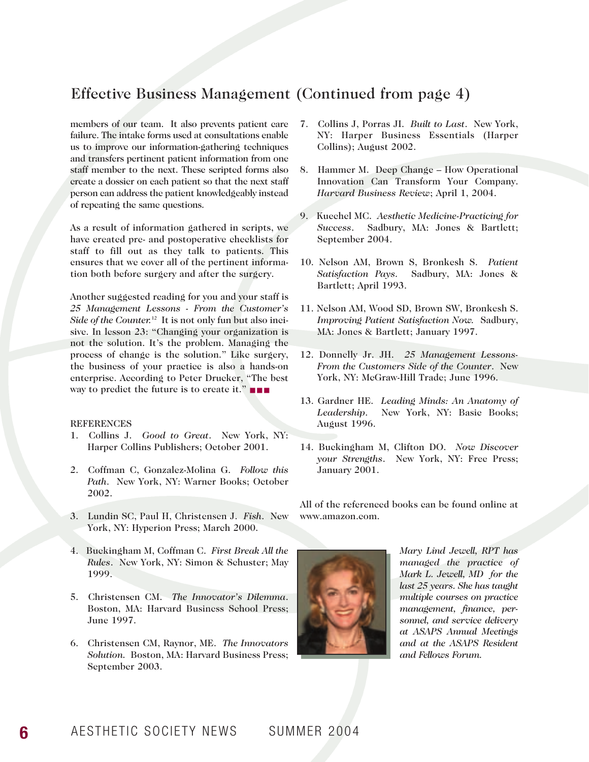### Effective Business Management (Continued from page 4)

members of our team. It also prevents patient care failure. The intake forms used at consultations enable us to improve our information-gathering techniques and transfers pertinent patient information from one staff member to the next. These scripted forms also create a dossier on each patient so that the next staff person can address the patient knowledgeably instead of repeating the same questions.

As a result of information gathered in scripts, we have created pre- and postoperative checklists for staff to fill out as they talk to patients. This ensures that we cover all of the pertinent information both before surgery and after the surgery.

Another suggested reading for you and your staff is *25 Management Lessons - From the Customer's Side of the Counter.*<sup>12</sup> It is not only fun but also incisive. In lesson 23: "Changing your organization is not the solution. It's the problem. Managing the process of change is the solution." Like surgery, the business of your practice is also a hands-on enterprise. According to Peter Drucker, "The best way to predict the future is to create it." ■ ■ ■

### **REFERENCES**

- 1. Collins J. *Good to Great*. New York, NY: Harper Collins Publishers; October 2001.
- 2. Coffman C, Gonzalez-Molina G. *Follow this Path*. New York, NY: Warner Books; October 2002.
- 3. Lundin SC, Paul H, Christensen J. *Fish*. New York, NY: Hyperion Press; March 2000.
- 4. Buckingham M, Coffman C. *First Break All the Rules*. New York, NY: Simon & Schuster; May 1999.
- 5. Christensen CM. *The Innovator's Dilemma*. Boston, MA: Harvard Business School Press; June 1997.
- 6. Christensen CM, Raynor, ME. *The Innovators Solution.* Boston, MA: Harvard Business Press; September 2003.
- 7. Collins J, Porras JI. *Built to Last*. New York, NY: Harper Business Essentials (Harper Collins); August 2002.
- 8. Hammer M. Deep Change How Operational Innovation Can Transform Your Company. *Harvard Business Review*; April 1, 2004.
- 9. Kuechel MC. *Aesthetic Medicine-Practicing for Success*. Sadbury, MA: Jones & Bartlett; September 2004.
- 10. Nelson AM, Brown S, Bronkesh S. *Patient Satisfaction Pays.* Sadbury, MA: Jones & Bartlett; April 1993.
- 11. Nelson AM, Wood SD, Brown SW, Bronkesh S. *Improving Patient Satisfaction Now.* Sadbury, MA: Jones & Bartlett; January 1997.
- 12. Donnelly Jr. JH. *25 Management Lessons-From the Customers Side of the Counter*. New York, NY: McGraw-Hill Trade; June 1996.
- 13. Gardner HE. *Leading Minds: An Anatomy of Leadership*. New York, NY: Basic Books; August 1996.
- 14. Buckingham M, Clifton DO. *Now Discover your Strengths*. New York, NY: Free Press; January 2001.

All of the referenced books can be found online at www.amazon.com.



*Mary Lind Jewell, RPT has managed the practice of Mark L. Jewell, MD for the last 25 years. She has taught multiple courses on practice management, finance, personnel, and service delivery at ASAPS Annual Meetings and at the ASAPS Resident and Fellows Forum.*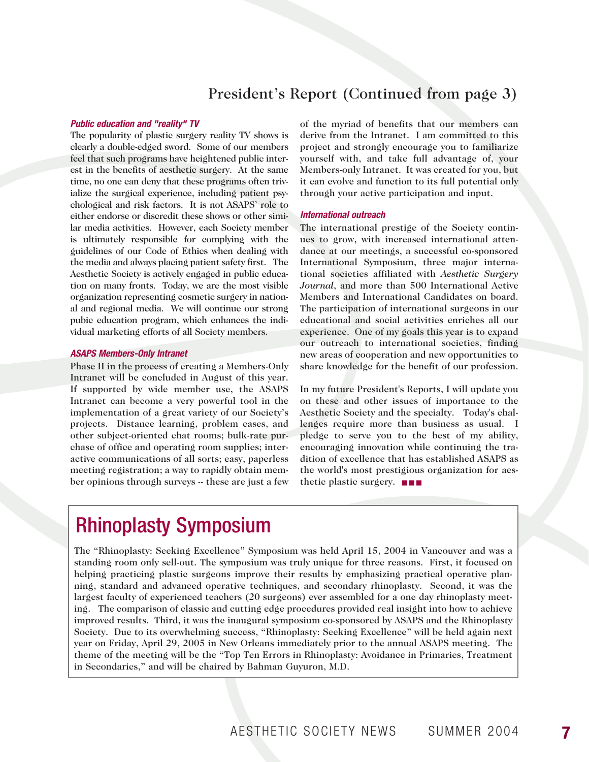### President's Report (Continued from page 3)

#### *Public education and "reality" TV*

The popularity of plastic surgery reality TV shows is clearly a double-edged sword. Some of our members feel that such programs have heightened public interest in the benefits of aesthetic surgery. At the same time, no one can deny that these programs often trivialize the surgical experience, including patient psychological and risk factors. It is not ASAPS' role to either endorse or discredit these shows or other similar media activities. However, each Society member is ultimately responsible for complying with the guidelines of our Code of Ethics when dealing with the media and always placing patient safety first. The Aesthetic Society is actively engaged in public education on many fronts. Today, we are the most visible organization representing cosmetic surgery in national and regional media. We will continue our strong pubic education program, which enhances the individual marketing efforts of all Society members.

### *ASAPS Members-Only Intranet*

Phase II in the process of creating a Members-Only Intranet will be concluded in August of this year. If supported by wide member use, the ASAPS Intranet can become a very powerful tool in the implementation of a great variety of our Society's projects. Distance learning, problem cases, and other subject-oriented chat rooms; bulk-rate purchase of office and operating room supplies; interactive communications of all sorts; easy, paperless meeting registration; a way to rapidly obtain member opinions through surveys -- these are just a few

of the myriad of benefits that our members can derive from the Intranet. I am committed to this project and strongly encourage you to familiarize yourself with, and take full advantage of, your Members-only Intranet. It was created for you, but it can evolve and function to its full potential only through your active participation and input.

#### *International outreach*

The international prestige of the Society continues to grow, with increased international attendance at our meetings, a successful co-sponsored International Symposium, three major international societies affiliated with *Aesthetic Surgery Journal*, and more than 500 International Active Members and International Candidates on board. The participation of international surgeons in our educational and social activities enriches all our experience. One of my goals this year is to expand our outreach to international societies, finding new areas of cooperation and new opportunities to share knowledge for the benefit of our profession.

In my future President's Reports, I will update you on these and other issues of importance to the Aesthetic Society and the specialty. Today's challenges require more than business as usual. I pledge to serve you to the best of my ability, encouraging innovation while continuing the tradition of excellence that has established ASAPS as the world's most prestigious organization for aesthetic plastic surgery. ■ ■ ■

## Rhinoplasty Symposium

The "Rhinoplasty: Seeking Excellence" Symposium was held April 15, 2004 in Vancouver and was a standing room only sell-out. The symposium was truly unique for three reasons. First, it focused on helping practicing plastic surgeons improve their results by emphasizing practical operative planning, standard and advanced operative techniques, and secondary rhinoplasty. Second, it was the largest faculty of experienced teachers (20 surgeons) ever assembled for a one day rhinoplasty meeting. The comparison of classic and cutting edge procedures provided real insight into how to achieve improved results. Third, it was the inaugural symposium co-sponsored by ASAPS and the Rhinoplasty Society. Due to its overwhelming success, "Rhinoplasty: Seeking Excellence" will be held again next year on Friday, April 29, 2005 in New Orleans immediately prior to the annual ASAPS meeting. The theme of the meeting will be the "Top Ten Errors in Rhinoplasty: Avoidance in Primaries, Treatment in Secondaries," and will be chaired by Bahman Guyuron, M.D.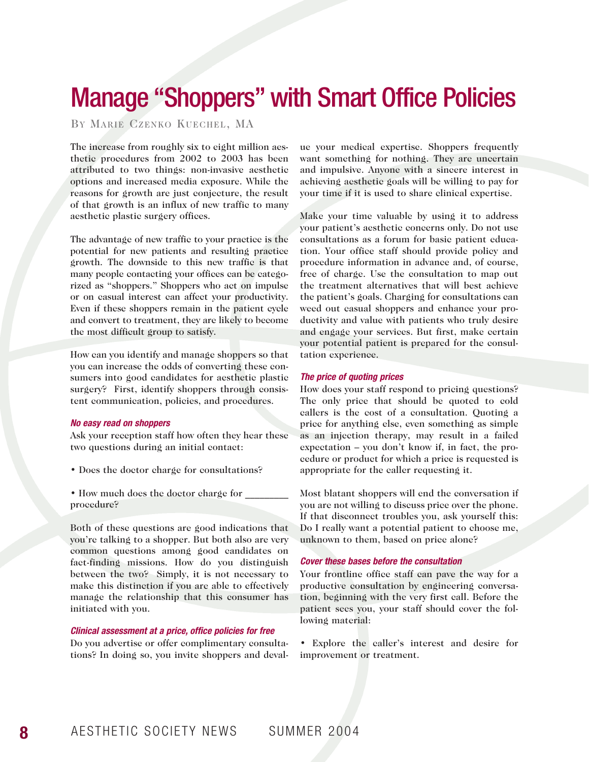# Manage "Shoppers" with Smart Office Policies

BY MARIE CZENKO KUECHEL, MA

The increase from roughly six to eight million aesthetic procedures from 2002 to 2003 has been attributed to two things: non-invasive aesthetic options and increased media exposure. While the reasons for growth are just conjecture, the result of that growth is an influx of new traffic to many aesthetic plastic surgery offices.

The advantage of new traffic to your practice is the potential for new patients and resulting practice growth. The downside to this new traffic is that many people contacting your offices can be categorized as "shoppers." Shoppers who act on impulse or on casual interest can affect your productivity. Even if these shoppers remain in the patient cycle and convert to treatment, they are likely to become the most difficult group to satisfy.

How can you identify and manage shoppers so that you can increase the odds of converting these consumers into good candidates for aesthetic plastic surgery? First, identify shoppers through consistent communication, policies, and procedures.

#### *No easy read on shoppers*

Ask your reception staff how often they hear these two questions during an initial contact:

- Does the doctor charge for consultations?
- How much does the doctor charge for \_\_\_\_\_\_\_\_ procedure?

Both of these questions are good indications that you're talking to a shopper. But both also are very common questions among good candidates on fact-finding missions. How do you distinguish between the two? Simply, it is not necessary to make this distinction if you are able to effectively manage the relationship that this consumer has initiated with you.

#### *Clinical assessment at a price, office policies for free*

Do you advertise or offer complimentary consultations? In doing so, you invite shoppers and deval-

ue your medical expertise. Shoppers frequently want something for nothing. They are uncertain and impulsive. Anyone with a sincere interest in achieving aesthetic goals will be willing to pay for your time if it is used to share clinical expertise.

Make your time valuable by using it to address your patient's aesthetic concerns only. Do not use consultations as a forum for basic patient education. Your office staff should provide policy and procedure information in advance and, of course, free of charge. Use the consultation to map out the treatment alternatives that will best achieve the patient's goals. Charging for consultations can weed out casual shoppers and enhance your productivity and value with patients who truly desire and engage your services. But first, make certain your potential patient is prepared for the consultation experience.

### *The price of quoting prices*

How does your staff respond to pricing questions? The only price that should be quoted to cold callers is the cost of a consultation. Quoting a price for anything else, even something as simple as an injection therapy, may result in a failed expectation – you don't know if, in fact, the procedure or product for which a price is requested is appropriate for the caller requesting it.

Most blatant shoppers will end the conversation if you are not willing to discuss price over the phone. If that disconnect troubles you, ask yourself this: Do I really want a potential patient to choose me, unknown to them, based on price alone?

#### *Cover these bases before the consultation*

Your frontline office staff can pave the way for a productive consultation by engineering conversation, beginning with the very first call. Before the patient sees you, your staff should cover the following material:

• Explore the caller's interest and desire for improvement or treatment.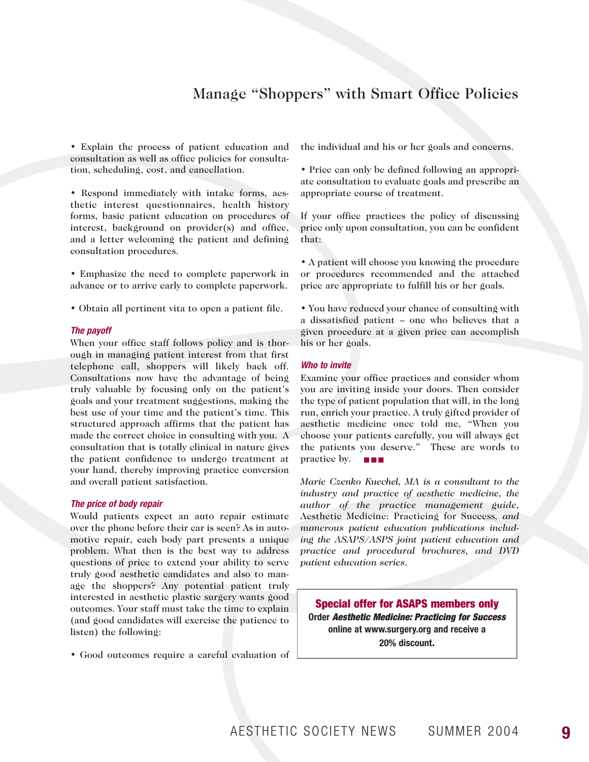### Manage "Shoppers" with Smart Office Policies

• Explain the process of patient education and consultation as well as office policies for consultation, scheduling, cost, and cancellation.

• Respond immediately with intake forms, aesthetic interest questionnaires, health history forms, basic patient education on procedures of interest, background on provider(s) and office, and a letter welcoming the patient and defining consultation procedures.

• Emphasize the need to complete paperwork in advance or to arrive early to complete paperwork.

• Obtain all pertinent vita to open a patient file.

#### *The payoff*

When your office staff follows policy and is thorough in managing patient interest from that first telephone call, shoppers will likely back off. Consultations now have the advantage of being truly valuable by focusing only on the patient's goals and your treatment suggestions, making the best use of your time and the patient's time. This structured approach affirms that the patient has made the correct choice in consulting with you. A consultation that is totally clinical in nature gives the patient confidence to undergo treatment at your hand, thereby improving practice conversion and overall patient satisfaction.

#### *The price of body repair*

Would patients expect an auto repair estimate over the phone before their car is seen? As in automotive repair, each body part presents a unique problem. What then is the best way to address questions of price to extend your ability to serve truly good aesthetic candidates and also to manage the shoppers? Any potential patient truly interested in aesthetic plastic surgery wants good outcomes. Your staff must take the time to explain (and good candidates will exercise the patience to listen) the following:

• Good outcomes require a careful evaluation of

the individual and his or her goals and concerns.

• Price can only be defined following an appropriate consultation to evaluate goals and prescribe an appropriate course of treatment.

If your office practices the policy of discussing price only upon consultation, you can be confident that:

• A patient will choose you knowing the procedure or procedures recommended and the attached price are appropriate to fulfill his or her goals.

• You have reduced your chance of consulting with a dissatisfied patient – one who believes that a given procedure at a given price can accomplish his or her goals.

#### *Who to invite*

Examine your office practices and consider whom you are inviting inside your doors. Then consider the type of patient population that will, in the long run, enrich your practice. A truly gifted provider of aesthetic medicine once told me, "When you choose your patients carefully, you will always get the patients you deserve." These are words to practice by. ■■■

*Marie Czenko Kuechel, MA is a consultant to the industry and practice of aesthetic medicine, the author of the practice management guide,* Aesthetic Medicine: Practicing for Success*, and numerous patient education publications including the ASAPS/ASPS joint patient education and practice and procedural brochures, and DVD patient education series.*

**Special offer for ASAPS members only Order** *Aesthetic Medicine: Practicing for Success* **online at www.surgery.org and receive a 20% discount.**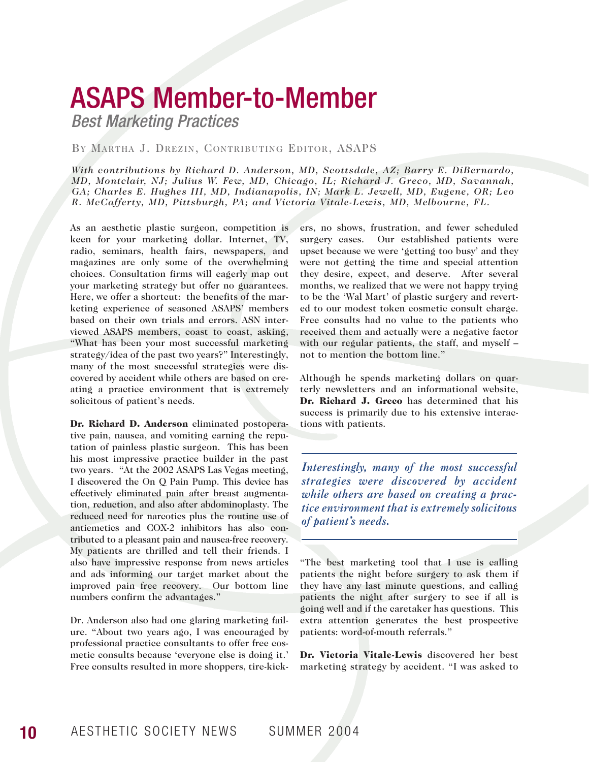# ASAPS Member-to-Member

*Best Marketing Practices*

### BY MARTHA J. DREZIN, CONTRIBUTING EDITOR, ASAPS

*With contributions by Richard D. Anderson, MD, Scottsdale, AZ; Barry E. DiBernardo, MD, Montclair, NJ; Julius W. Few, MD, Chicago, IL; Richard J. Greco, MD, Savannah, GA; Charles E. Hughes III, MD, Indianapolis, IN; Mark L. Jewell, MD, Eugene, OR; Leo R. McCafferty, MD, Pittsburgh, PA; and Victoria Vitale-Lewis, MD, Melbourne, FL.*

As an aesthetic plastic surgeon, competition is keen for your marketing dollar. Internet, TV, radio, seminars, health fairs, newspapers, and magazines are only some of the overwhelming choices. Consultation firms will eagerly map out your marketing strategy but offer no guarantees. Here, we offer a shortcut: the benefits of the marketing experience of seasoned ASAPS' members based on their own trials and errors. ASN interviewed ASAPS members, coast to coast, asking, "What has been your most successful marketing strategy/idea of the past two years?" Interestingly, many of the most successful strategies were discovered by accident while others are based on creating a practice environment that is extremely solicitous of patient's needs.

Dr. Richard D. Anderson eliminated postoperative pain, nausea, and vomiting earning the reputation of painless plastic surgeon. This has been his most impressive practice builder in the past two years. "At the 2002 ASAPS Las Vegas meeting, I discovered the On Q Pain Pump. This device has effectively eliminated pain after breast augmentation, reduction, and also after abdominoplasty. The reduced need for narcotics plus the routine use of antiemetics and COX-2 inhibitors has also contributed to a pleasant pain and nausea-free recovery. My patients are thrilled and tell their friends. I also have impressive response from news articles and ads informing our target market about the improved pain free recovery. Our bottom line numbers confirm the advantages."

Dr. Anderson also had one glaring marketing failure. "About two years ago, I was encouraged by professional practice consultants to offer free cosmetic consults because 'everyone else is doing it.' Free consults resulted in more shoppers, tire-kickers, no shows, frustration, and fewer scheduled surgery cases. Our established patients were upset because we were 'getting too busy' and they were not getting the time and special attention they desire, expect, and deserve. After several months, we realized that we were not happy trying to be the 'Wal Mart' of plastic surgery and reverted to our modest token cosmetic consult charge. Free consults had no value to the patients who received them and actually were a negative factor with our regular patients, the staff, and myself – not to mention the bottom line."

Although he spends marketing dollars on quarterly newsletters and an informational website, Dr. Richard J. Greco has determined that his success is primarily due to his extensive interactions with patients.

*Interestingly, many of the most successful strategies were discovered by accident while others are based on creating a practice environment that is extremely solicitous of patient's needs.*

"The best marketing tool that I use is calling patients the night before surgery to ask them if they have any last minute questions, and calling patients the night after surgery to see if all is going well and if the caretaker has questions. This extra attention generates the best prospective patients: word-of-mouth referrals."

Dr. Victoria Vitale-Lewis discovered her best marketing strategy by accident. "I was asked to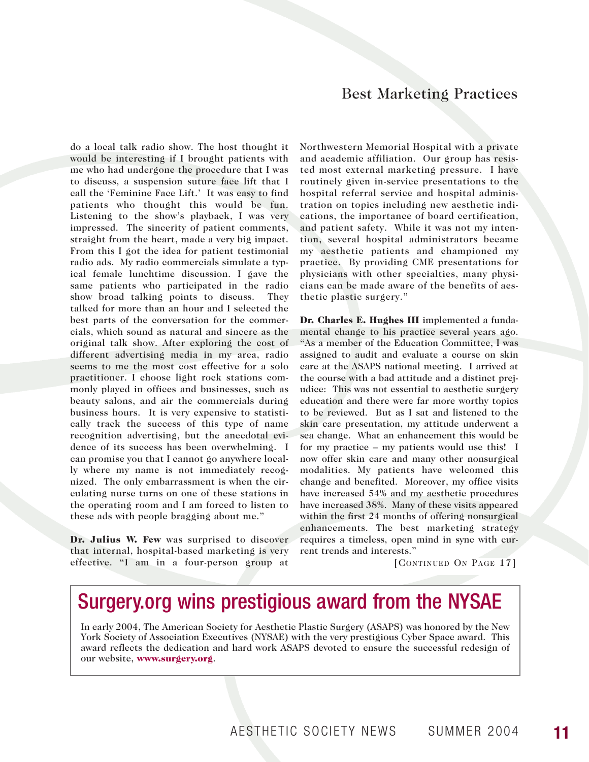### Best Marketing Practices

do a local talk radio show. The host thought it would be interesting if I brought patients with me who had undergone the procedure that I was to discuss, a suspension suture face lift that I call the 'Feminine Face Lift.' It was easy to find patients who thought this would be fun. Listening to the show's playback, I was very impressed. The sincerity of patient comments, straight from the heart, made a very big impact. From this I got the idea for patient testimonial radio ads. My radio commercials simulate a typical female lunchtime discussion. I gave the same patients who participated in the radio show broad talking points to discuss. They talked for more than an hour and I selected the best parts of the conversation for the commercials, which sound as natural and sincere as the original talk show. After exploring the cost of different advertising media in my area, radio seems to me the most cost effective for a solo practitioner. I choose light rock stations commonly played in offices and businesses, such as beauty salons, and air the commercials during business hours. It is very expensive to statistically track the success of this type of name recognition advertising, but the anecdotal evidence of its success has been overwhelming. I can promise you that I cannot go anywhere locally where my name is not immediately recognized. The only embarrassment is when the circulating nurse turns on one of these stations in the operating room and I am forced to listen to these ads with people bragging about me."

Dr. Julius W. Few was surprised to discover that internal, hospital-based marketing is very effective. "I am in a four-person group at Northwestern Memorial Hospital with a private and academic affiliation. Our group has resisted most external marketing pressure. I have routinely given in-service presentations to the hospital referral service and hospital administration on topics including new aesthetic indications, the importance of board certification, and patient safety. While it was not my intention, several hospital administrators became my aesthetic patients and championed my practice. By providing CME presentations for physicians with other specialties, many physicians can be made aware of the benefits of aesthetic plastic surgery."

Dr. Charles E. Hughes III implemented a fundamental change to his practice several years ago. "As a member of the Education Committee, I was assigned to audit and evaluate a course on skin care at the ASAPS national meeting. I arrived at the course with a bad attitude and a distinct prejudice: This was not essential to aesthetic surgery education and there were far more worthy topics to be reviewed. But as I sat and listened to the skin care presentation, my attitude underwent a sea change. What an enhancement this would be for my practice – my patients would use this! I now offer skin care and many other nonsurgical modalities. My patients have welcomed this change and benefited. Moreover, my office visits have increased 54% and my aesthetic procedures have increased 38%. Many of these visits appeared within the first 24 months of offering nonsurgical enhancements. The best marketing strategy requires a timeless, open mind in sync with current trends and interests."

[CONTINUED ON PAGE 17]

## Surgery.org wins prestigious award from the NYSAE

In early 2004, The American Society for Aesthetic Plastic Surgery (ASAPS) was honored by the New York Society of Association Executives (NYSAE) with the very prestigious Cyber Space award. This award reflects the dedication and hard work ASAPS devoted to ensure the successful redesign of our website, www.surgery.org.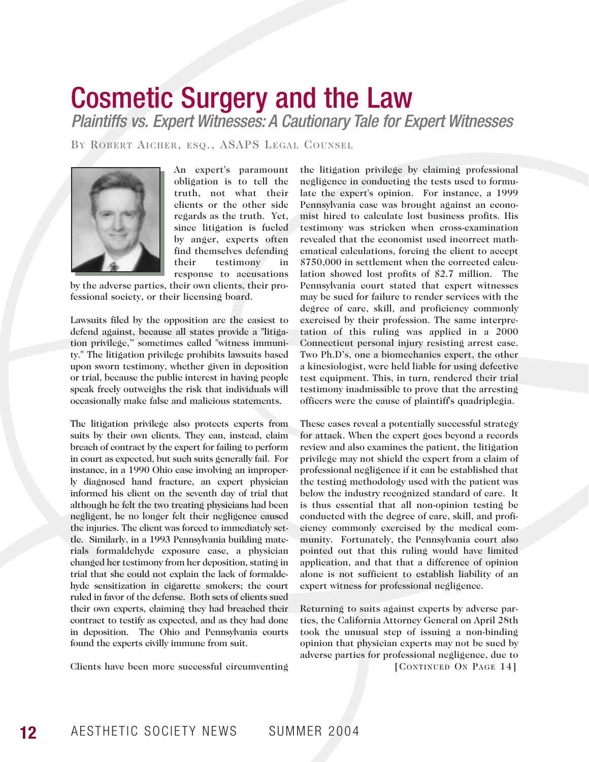# Cosmetic Surgery and the Law

*Plaintiffs vs. Expert Witnesses: A Cautionary Tale for Expert Witnesses*

BY ROBERT AICHER, ESQ., ASAPS LEGAL COUNSEL



An expert's paramount obligation is to tell the truth, not what their clients or the other side regards as the truth. Yet, since litigation is fueled by anger, experts often find themselves defending their testimony in response to accusations

by the adverse parties, their own clients, their professional society, or their licensing board.

Lawsuits filed by the opposition are the easiest to defend against, because all states provide a "litigation privilege," sometimes called "witness immunity." The litigation privilege prohibits lawsuits based upon sworn testimony, whether given in deposition or trial, because the public interest in having people speak freely outweighs the risk that individuals will occasionally make false and malicious statements.

The litigation privilege also protects experts from suits by their own clients. They can, instead, claim breach of contract by the expert for failing to perform in court as expected, but such suits generally fail. For instance, in a 1990 Ohio case involving an improperly diagnosed hand fracture, an expert physician informed his client on the seventh day of trial that although he felt the two treating physicians had been negligent, he no longer felt their negligence caused the injuries. The client was forced to immediately settle. Similarly, in a 1993 Pennsylvania building materials formaldehyde exposure case, a physician changed her testimony from her deposition, stating in trial that she could not explain the lack of formaldehyde sensitization in cigarette smokers; the court ruled in favor of the defense. Both sets of clients sued their own experts, claiming they had breached their contract to testify as expected, and as they had done in deposition. The Ohio and Pennsylvania courts found the experts civilly immune from suit.

Clients have been more successful circumventing

the litigation privilege by claiming professional negligence in conducting the tests used to formulate the expert's opinion. For instance, a 1999 Pennsylvania case was brought against an economist hired to calculate lost business profits. His testimony was stricken when cross-examination revealed that the economist used incorrect mathematical calculations, forcing the client to accept \$750,000 in settlement when the corrected calculation showed lost profits of \$2.7 million. The Pennsylvania court stated that expert witnesses may be sued for failure to render services with the degree of care, skill, and proficiency commonly exercised by their profession. The same interpretation of this ruling was applied in a 2000 Connecticut personal injury resisting arrest case. Two Ph.D's, one a biomechanics expert, the other a kinesiologist, were held liable for using defective test equipment. This, in turn, rendered their trial testimony inadmissible to prove that the arresting officers were the cause of plaintiff's quadriplegia.

These cases reveal a potentially successful strategy for attack. When the expert goes beyond a records review and also examines the patient, the litigation privilege may not shield the expert from a claim of professional negligence if it can be established that the testing methodology used with the patient was below the industry recognized standard of care. It is thus essential that all non-opinion testing be conducted with the degree of care, skill, and proficiency commonly exercised by the medical community. Fortunately, the Pennsylvania court also pointed out that this ruling would have limited application, and that that a difference of opinion alone is not sufficient to establish liability of an expert witness for professional negligence.

Returning to suits against experts by adverse parties, the California Attorney General on April 28th took the unusual step of issuing a non-binding opinion that physician experts may not be sued by adverse parties for professional negligence, due to [CONTINUED ON PAGE 14]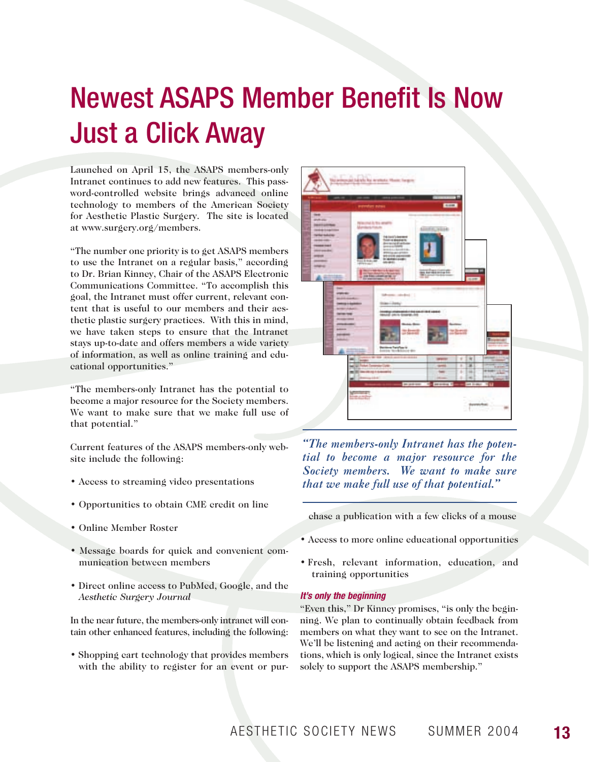# Newest ASAPS Member Benefit Is Now Just a Click Away

Launched on April 15, the ASAPS members-only Intranet continues to add new features. This password-controlled website brings advanced online technology to members of the American Society for Aesthetic Plastic Surgery. The site is located at www.surgery.org/members.

"The number one priority is to get ASAPS members to use the Intranet on a regular basis," according to Dr. Brian Kinney, Chair of the ASAPS Electronic Communications Committee. "To accomplish this goal, the Intranet must offer current, relevant content that is useful to our members and their aesthetic plastic surgery practices. With this in mind, we have taken steps to ensure that the Intranet stays up-to-date and offers members a wide variety of information, as well as online training and educational opportunities."

"The members-only Intranet has the potential to become a major resource for the Society members. We want to make sure that we make full use of that potential."

Current features of the ASAPS members-only website include the following:

- Access to streaming video presentations
- Opportunities to obtain CME credit on line
- Online Member Roster
- Message boards for quick and convenient communication between members
- Direct online access to PubMed, Google, and the *Aesthetic Surgery Journal*

In the near future, the members-only intranet will contain other enhanced features, including the following:

• Shopping cart technology that provides members with the ability to register for an event or pur-



*"The members-only Intranet has the potential to become a major resource for the Society members. We want to make sure that we make full use of that potential."*

chase a publication with a few clicks of a mouse

- Access to more online educational opportunities
- Fresh, relevant information, education, and training opportunities

#### *It's only the beginning*

"Even this," Dr Kinney promises, "is only the beginning. We plan to continually obtain feedback from members on what they want to see on the Intranet. We'll be listening and acting on their recommendations, which is only logical, since the Intranet exists solely to support the ASAPS membership."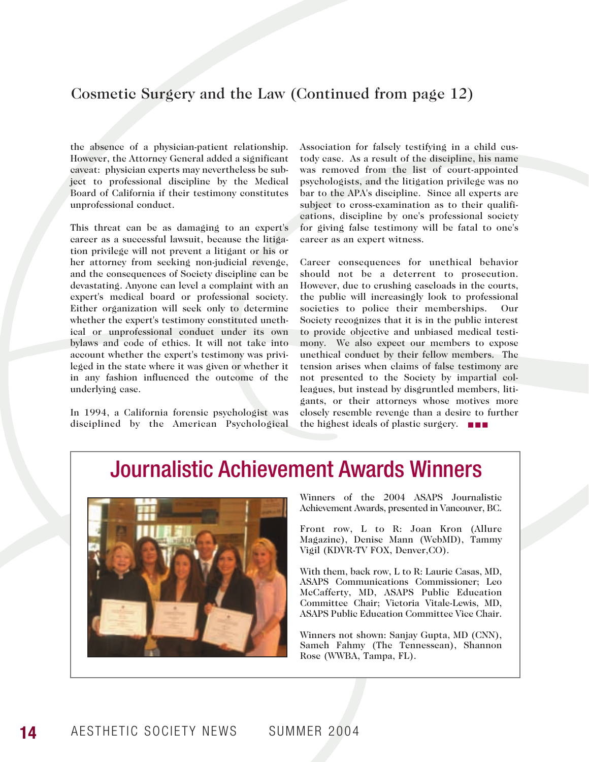### Cosmetic Surgery and the Law (Continued from page 12)

the absence of a physician-patient relationship. However, the Attorney General added a significant caveat: physician experts may nevertheless be subject to professional discipline by the Medical Board of California if their testimony constitutes unprofessional conduct.

This threat can be as damaging to an expert's career as a successful lawsuit, because the litigation privilege will not prevent a litigant or his or her attorney from seeking non-judicial revenge, and the consequences of Society discipline can be devastating. Anyone can level a complaint with an expert's medical board or professional society. Either organization will seek only to determine whether the expert's testimony constituted unethical or unprofessional conduct under its own bylaws and code of ethics. It will not take into account whether the expert's testimony was privileged in the state where it was given or whether it in any fashion influenced the outcome of the underlying case.

In 1994, a California forensic psychologist was disciplined by the American Psychological Association for falsely testifying in a child custody case. As a result of the discipline, his name was removed from the list of court-appointed psychologists, and the litigation privilege was no bar to the APA's discipline. Since all experts are subject to cross-examination as to their qualifications, discipline by one's professional society for giving false testimony will be fatal to one's career as an expert witness.

Career consequences for unethical behavior should not be a deterrent to prosecution. However, due to crushing caseloads in the courts, the public will increasingly look to professional societies to police their memberships. Our Society recognizes that it is in the public interest to provide objective and unbiased medical testimony. We also expect our members to expose unethical conduct by their fellow members. The tension arises when claims of false testimony are not presented to the Society by impartial colleagues, but instead by disgruntled members, litigants, or their attorneys whose motives more closely resemble revenge than a desire to further the highest ideals of plastic surgery. ■ ■ ■

## Journalistic Achievement Awards Winners



Winners of the 2004 ASAPS Journalistic Achievement Awards, presented in Vancouver, BC.

Front row, L to R: Joan Kron (Allure Magazine), Denise Mann (WebMD), Tammy Vigil (KDVR-TV FOX, Denver,CO).

With them, back row, L to R: Laurie Casas, MD, ASAPS Communications Commissioner; Leo McCafferty, MD, ASAPS Public Education Committee Chair; Victoria Vitale-Lewis, MD, ASAPS Public Education Committee Vice Chair.

Winners not shown: Sanjay Gupta, MD (CNN), Sameh Fahmy (The Tennessean), Shannon Rose (WWBA, Tampa, FL).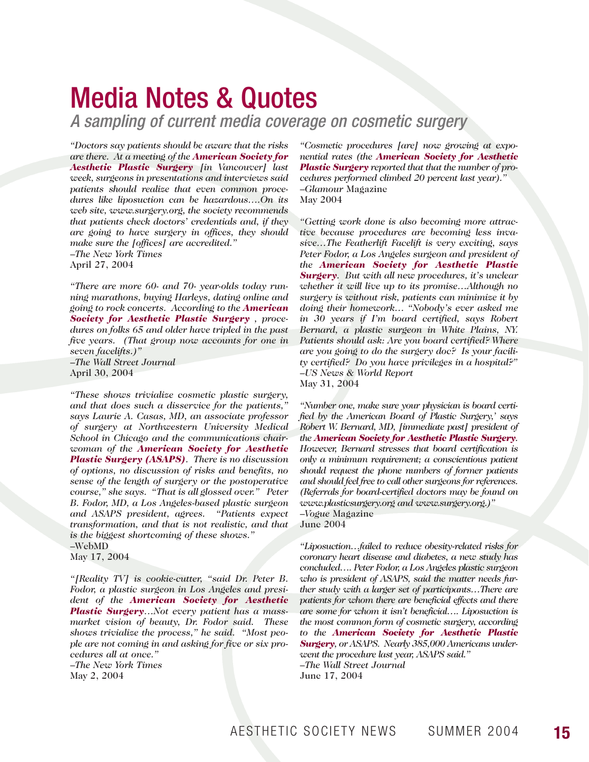# Media Notes & Quotes

*A sampling of current media coverage on cosmetic surgery*

*"Doctors say patients should be aware that the risks are there. At a meeting of the American Society for Aesthetic Plastic Surgery [in Vancouver] last week, surgeons in presentations and interviews said patients should realize that even common procedures like liposuction can be hazardous….On its web site, www.surgery.org, the society recommends that patients check doctors' credentials and, if they are going to have surgery in offices, they should make sure the [offices] are accredited."* –*The New York Times* April 27, 2004

*"There are more 60- and 70- year-olds today running marathons, buying Harleys, dating online and going to rock concerts. According to the American Society for Aesthetic Plastic Surgery , procedures on folks 65 and older have tripled in the past five years. (That group now accounts for one in seven facelifts.)"* –*The Wall Street Journal* April 30, 2004

*"These shows trivialize cosmetic plastic surgery, and that does such a disservice for the patients," says Laurie A. Casas, MD, an associate professor of surgery at Northwestern University Medical School in Chicago and the communications chairwoman of the American Society for Aesthetic Plastic Surgery (ASAPS). There is no discussion of options, no discussion of risks and benefits, no sense of the length of surgery or the postoperative course," she says. "That is all glossed over." Peter B. Fodor, MD, a Los Angeles-based plastic surgeon and ASAPS president, agrees. transformation, and that is not realistic, and that is the biggest shortcoming of these shows."* –WebMD

May 17, 2004

*"[Reality TV] is cookie-cutter, "said Dr. Peter B. Fodor, a plastic surgeon in Los Angeles and president of the American Society for Aesthetic Plastic Surgery…Not every patient has a massmarket vision of beauty, Dr. Fodor said. These shows trivialize the process," he said. "Most people are not coming in and asking for five or six procedures all at once."*  –*The New York Times* May 2, 2004

*"Cosmetic procedures [are] now growing at exponential rates (the American Society for Aesthetic Plastic Surgery reported that that the number of procedures performed climbed 20 percent last year)."* –*Glamour* Magazine May 2004

*"Getting work done is also becoming more attractive because procedures are becoming less invasive…The Featherlift Facelift is very exciting, says Peter Fodor, a Los Angeles surgeon and president of the American Society for Aesthetic Plastic Surgery. But with all new procedures, it's unclear whether it will live up to its promise…Although no surgery is without risk, patients can minimize it by doing their homework… "Nobody's ever asked me in 30 years if I'm board certified, says Robert Bernard, a plastic surgeon in White Plains, NY. Patients should ask: Are you board certified? Where are you going to do the surgery doc? Is your facility certified? Do you have privileges in a hospital?"* –*US News & World Report* May 31, 2004

*"Number one, make sure your physician is board certified by the American Board of Plastic Surgery,' says Robert W. Bernard, MD, [immediate past] president of the American Society for Aesthetic Plastic Surgery. However, Bernard stresses that board certification is only a minimum requirement; a conscientious patient should request the phone numbers of former patients and should feel free to call other surgeons for references. (Referrals for board-certified doctors may be found on www.plasticsurgery.org and www.surgery.org.)"*

–*Vogue* Magazine June 2004

*"Liposuction…failed to reduce obesity-related risks for coronary heart disease and diabetes, a new study has concluded…. Peter Fodor, a Los Angeles plastic surgeon who is president of ASAPS, said the matter needs further study with a larger set of participants…There are patients for whom there are beneficial effects and there are some for whom it isn't beneficial…. Liposuction is the most common form of cosmetic surgery, according to the American Society for Aesthetic Plastic Surgery, or ASAPS. Nearly 385,000 Americans underwent the procedure last year, ASAPS said."* –*The Wall Street Journal* June 17, 2004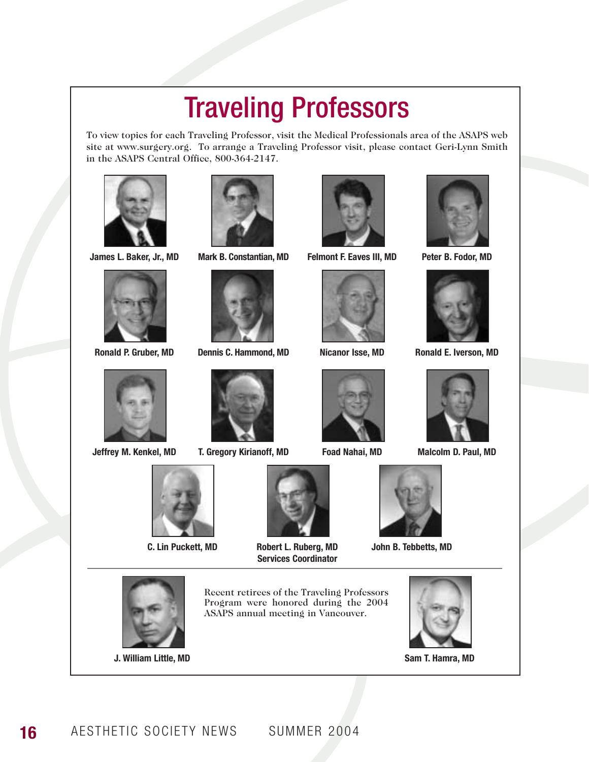# Traveling Professors

To view topics for each Traveling Professor, visit the Medical Professionals area of the ASAPS web site at www.surgery.org. To arrange a Traveling Professor visit, please contact Geri-Lynn Smith in the ASAPS Central Office, 800-364-2147.









**C. Lin Puckett, MD**



**James L. Baker, Jr., MD Mark B. Constantian, MD Felmont F. Eaves III, MD Peter B. Fodor, MD**



**Ronald P. Gruber, MD Dennis C. Hammond, MD Nicanor Isse, MD Ronald E. Iverson, MD**



**Jeffrey M. Kenkel, MD T. Gregory Kirianoff, MD Foad Nahai, MD Malcolm D. Paul, MD**



**Robert L. Ruberg, MD Services Coordinator**











**John B. Tebbetts, MD**













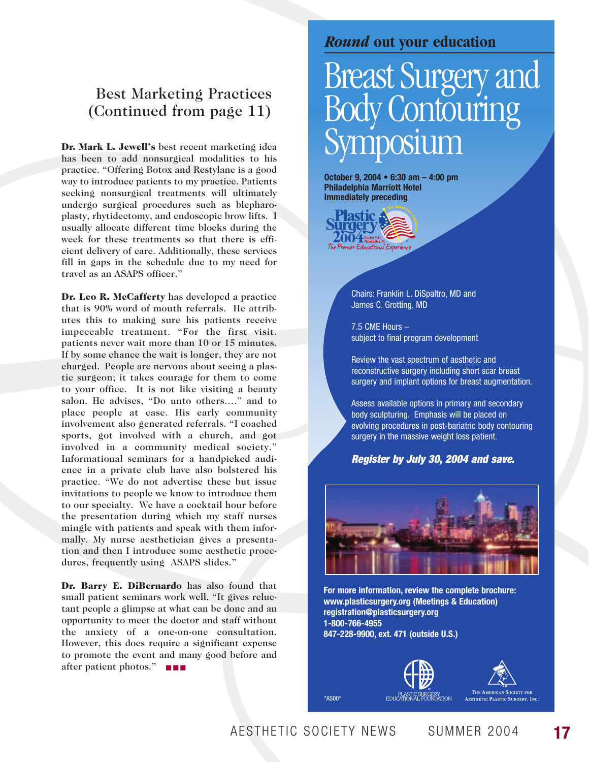### Best Marketing Practices (Continued from page 11)

Dr. Mark L. Jewell's best recent marketing idea has been to add nonsurgical modalities to his practice. "Offering Botox and Restylane is a good way to introduce patients to my practice. Patients seeking nonsurgical treatments will ultimately undergo surgical procedures such as blepharoplasty, rhytidectomy, and endoscopic brow lifts. I usually allocate different time blocks during the week for these treatments so that there is efficient delivery of care. Additionally, these services fill in gaps in the schedule due to my need for travel as an ASAPS officer."

Dr. Leo R. McCafferty has developed a practice that is 90% word of mouth referrals. He attributes this to making sure his patients receive impeccable treatment. "For the first visit, patients never wait more than 10 or 15 minutes. If by some chance the wait is longer, they are not charged. People are nervous about seeing a plastic surgeon; it takes courage for them to come to your office. It is not like visiting a beauty salon. He advises, "Do unto others…." and to place people at ease. His early community involvement also generated referrals. "I coached sports, got involved with a church, and got involved in a community medical society." Informational seminars for a handpicked audience in a private club have also bolstered his practice. "We do not advertise these but issue invitations to people we know to introduce them to our specialty. We have a cocktail hour before the presentation during which my staff nurses mingle with patients and speak with them informally. My nurse aesthetician gives a presentation and then I introduce some aesthetic procedures, frequently using ASAPS slides."

Dr. Barry E. DiBernardo has also found that small patient seminars work well. "It gives reluctant people a glimpse at what can be done and an opportunity to meet the doctor and staff without the anxiety of a one-on-one consultation. However, this does require a significant expense to promote the event and many good before and after patient photos." ■ ■ ■

### *Round* **out your education**

# Breast Surgery and Body Contouring Symposium

**October 9, 2004 • 6:30 am – 4:00 pm Philadelphia Marriott Hotel Immediately preceding**



Chairs: Franklin L. DiSpaltro, MD and James C. Grotting, MD

7.5 CME Hours – subject to final program development

Review the vast spectrum of aesthetic and reconstructive surgery including short scar breast surgery and implant options for breast augmentation.

Assess available options in primary and secondary body sculpturing. Emphasis will be placed on evolving procedures in post-bariatric body contouring surgery in the massive weight loss patient.

### *Register by July 30, 2004 and save.*



**For more information, review the complete brochure: www.plasticsurgery.org (Meetings & Education) registration@plasticsurgery.org 1-800-766-4955 847-228-9900, ext. 471 (outside U.S.)**



AESTHETIC SOCIETY NEWS SUMMER 2004 **17**

\*AS00\*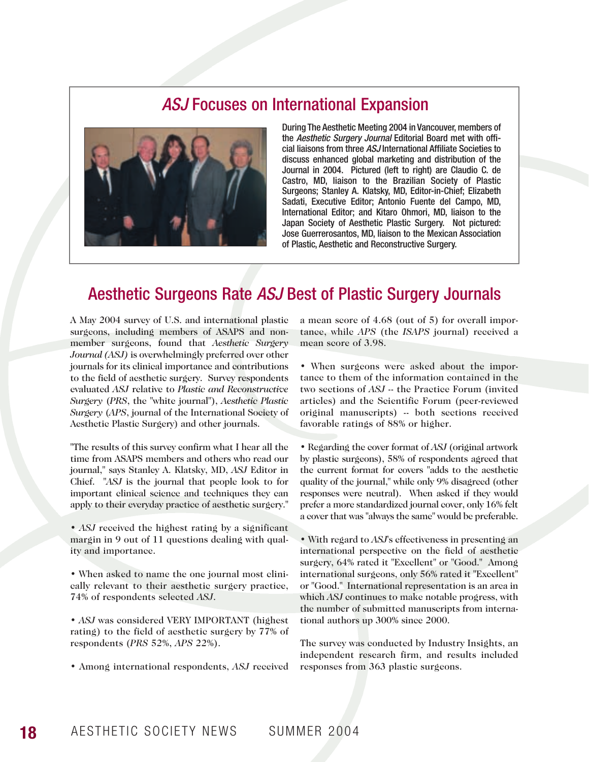### *ASJ* Focuses on International Expansion



During The Aesthetic Meeting 2004 in Vancouver, members of the *Aesthetic Surgery Journal* Editorial Board met with official liaisons from three *ASJ* International Affiliate Societies to discuss enhanced global marketing and distribution of the Journal in 2004. Pictured (left to right) are Claudio C. de Castro, MD, liaison to the Brazilian Society of Plastic Surgeons; Stanley A. Klatsky, MD, Editor-in-Chief; Elizabeth Sadati, Executive Editor; Antonio Fuente del Campo, MD, International Editor; and Kitaro Ohmori, MD, liaison to the Japan Society of Aesthetic Plastic Surgery. Not pictured: Jose Guerrerosantos, MD, liaison to the Mexican Association of Plastic, Aesthetic and Reconstructive Surgery.

### Aesthetic Surgeons Rate *ASJ* Best of Plastic Surgery Journals

A May 2004 survey of U.S. and international plastic surgeons, including members of ASAPS and nonmember surgeons, found that *Aesthetic Surgery Journal (ASJ)* is overwhelmingly preferred over other journals for its clinical importance and contributions to the field of aesthetic surgery. Survey respondents evaluated *ASJ* relative to *Plastic and Reconstructive Surgery* (*PRS*, the "white journal"), *Aesthetic Plastic Surgery* (*APS*, journal of the International Society of Aesthetic Plastic Surgery) and other journals.

"The results of this survey confirm what I hear all the time from ASAPS members and others who read our journal," says Stanley A. Klatsky, MD, *ASJ* Editor in Chief. "*ASJ* is the journal that people look to for important clinical science and techniques they can apply to their everyday practice of aesthetic surgery."

- *ASJ* received the highest rating by a significant margin in 9 out of 11 questions dealing with quality and importance.
- When asked to name the one journal most clinically relevant to their aesthetic surgery practice, 74% of respondents selected *ASJ*.
- *ASJ* was considered VERY IMPORTANT (highest rating) to the field of aesthetic surgery by 77% of respondents (*PRS* 52%, *APS* 22%).
- Among international respondents, *ASJ* received

a mean score of 4.68 (out of 5) for overall importance, while *APS* (the *ISAPS* journal) received a mean score of 3.98.

• When surgeons were asked about the importance to them of the information contained in the two sections of *ASJ* -- the Practice Forum (invited articles) and the Scientific Forum (peer-reviewed original manuscripts) -- both sections received favorable ratings of 88% or higher.

• Regarding the cover format of *ASJ* (original artwork by plastic surgeons), 58% of respondents agreed that the current format for covers "adds to the aesthetic quality of the journal," while only 9% disagreed (other responses were neutral). When asked if they would prefer a more standardized journal cover, only 16% felt a cover that was "always the same" would be preferable.

• With regard to *ASJ*'s effectiveness in presenting an international perspective on the field of aesthetic surgery, 64% rated it "Excellent" or "Good." Among international surgeons, only 56% rated it "Excellent" or "Good." International representation is an area in which *ASJ* continues to make notable progress, with the number of submitted manuscripts from international authors up 300% since 2000.

The survey was conducted by Industry Insights, an independent research firm, and results included responses from 363 plastic surgeons.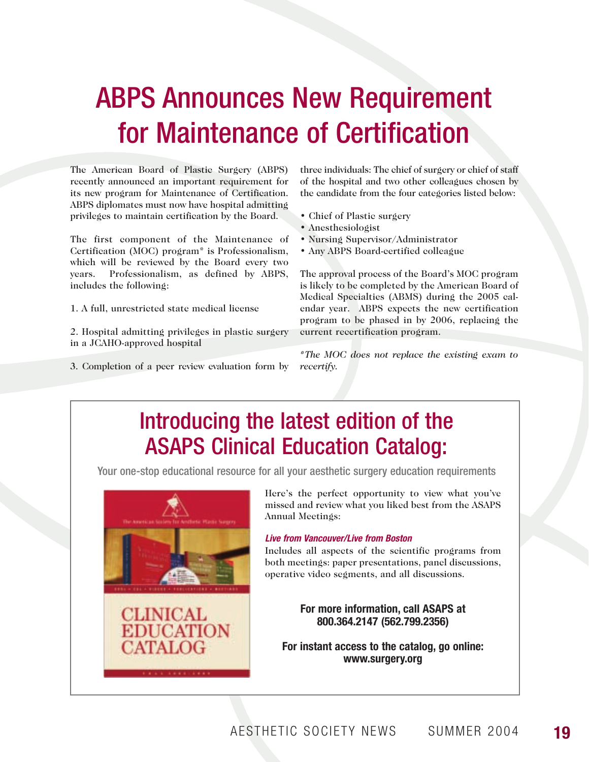# ABPS Announces New Requirement for Maintenance of Certification

The American Board of Plastic Surgery (ABPS) recently announced an important requirement for its new program for Maintenance of Certification. ABPS diplomates must now have hospital admitting privileges to maintain certification by the Board.

The first component of the Maintenance of Certification (MOC) program\* is Professionalism, which will be reviewed by the Board every two years. Professionalism, as defined by ABPS, includes the following:

1. A full, unrestricted state medical license

**CLINICAL** 

**EDUCATION EATALOG** 

2. Hospital admitting privileges in plastic surgery in a JCAHO-approved hospital

3. Completion of a peer review evaluation form by

three individuals: The chief of surgery or chief of staff of the hospital and two other colleagues chosen by the candidate from the four categories listed below:

- Chief of Plastic surgery
- Anesthesiologist
- Nursing Supervisor/Administrator
- Any ABPS Board-certified colleague

The approval process of the Board's MOC program is likely to be completed by the American Board of Medical Specialties (ABMS) during the 2005 calendar year. ABPS expects the new certification program to be phased in by 2006, replacing the current recertification program.

*\*The MOC does not replace the existing exam to recertify.* 

## Here's the perfect opportunity to view what you've missed and review what you liked best from the ASAPS Annual Meetings: *Live from Vancouver/Live from Boston* Introducing the latest edition of the ASAPS Clinical Education Catalog: Your one-stop educational resource for all your aesthetic surgery education requirements

Includes all aspects of the scientific programs from both meetings: paper presentations, panel discussions,

operative video segments, and all discussions.

**For more information, call ASAPS at 800.364.2147 (562.799.2356)**

**For instant access to the catalog, go online: www.surgery.org**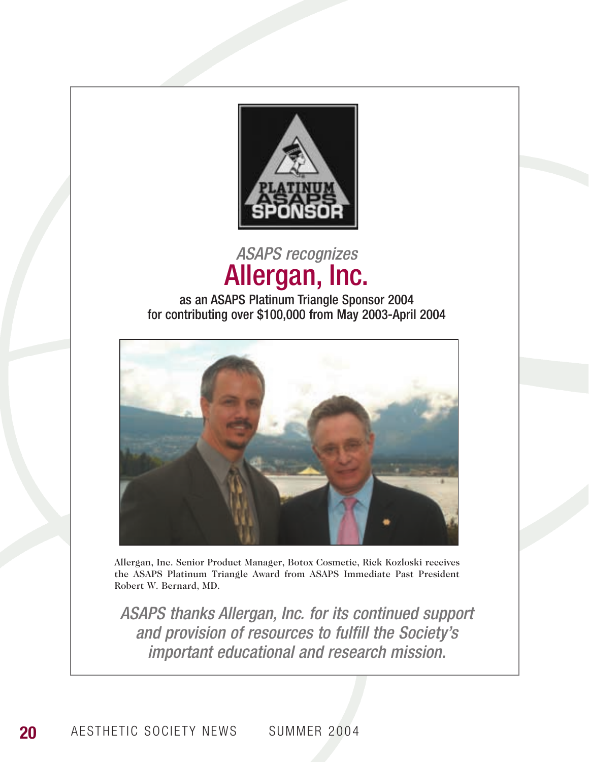

## *ASAPS recognizes*  Allergan, Inc.

### as an ASAPS Platinum Triangle Sponsor 2004 for contributing over \$100,000 from May 2003-April 2004



Allergan, Inc. Senior Product Manager, Botox Cosmetic, Rick Kozloski receives the ASAPS Platinum Triangle Award from ASAPS Immediate Past President Robert W. Bernard, MD.

*ASAPS thanks Allergan, Inc. for its continued support and provision of resources to fulfill the Society's important educational and research mission.*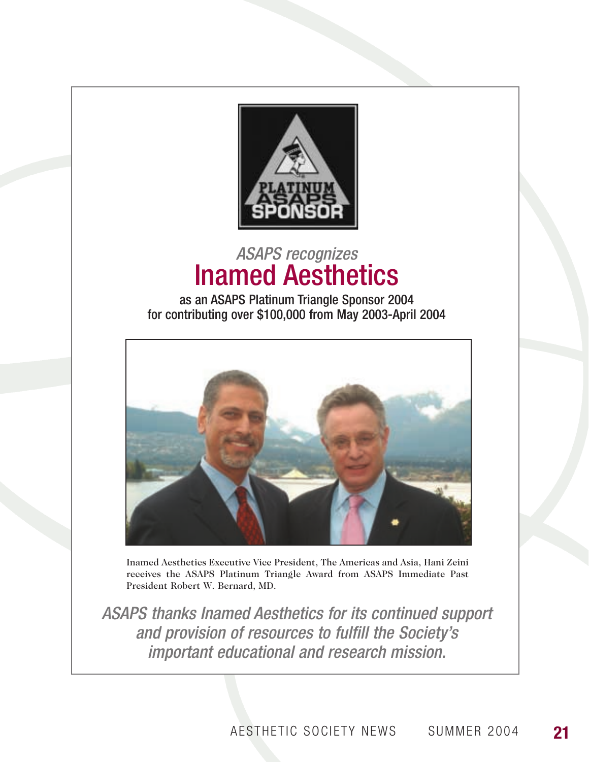

## *ASAPS recognizes*  Inamed Aesthetics

as an ASAPS Platinum Triangle Sponsor 2004 for contributing over \$100,000 from May 2003-April 2004



Inamed Aesthetics Executive Vice President, The Americas and Asia, Hani Zeini receives the ASAPS Platinum Triangle Award from ASAPS Immediate Past President Robert W. Bernard, MD.

*ASAPS thanks Inamed Aesthetics for its continued support and provision of resources to fulfill the Society's important educational and research mission.*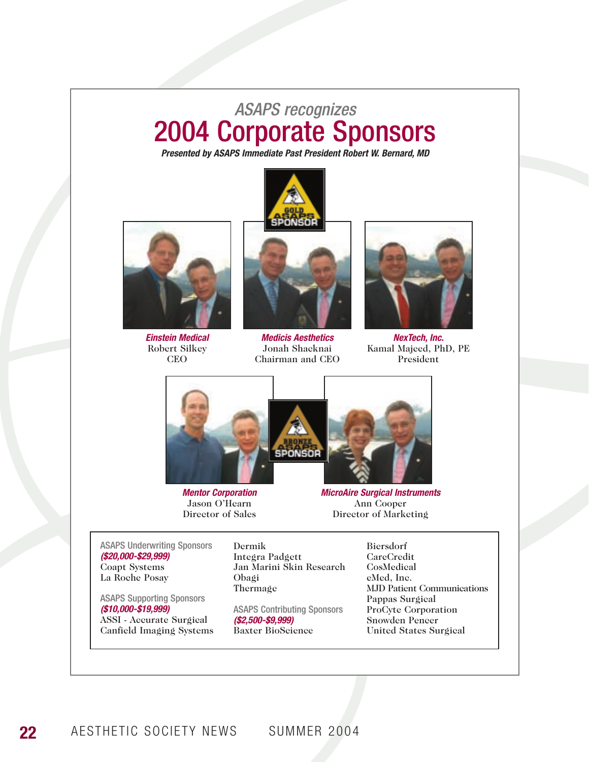# *ASAPS recognizes*  2004 Corporate Sponsors

*Presented by ASAPS Immediate Past President Robert W. Bernard, MD*



*Einstein Medical* Robert Silkey CEO



*Medicis Aesthetics* Jonah Shacknai Chairman and CEO



*NexTech, Inc.* Kamal Majeed, PhD, PE President



*Mentor Corporation* Jason O'Hearn Director of Sales



*MicroAire Surgical Instruments* Ann Cooper Director of Marketing

ASAPS Underwriting Sponsors *(\$20,000-\$29,999)* Coapt Systems La Roche Posay

ASAPS Supporting Sponsors *(\$10,000-\$19,999)* ASSI - Accurate Surgical Canfield Imaging Systems

Dermik Integra Padgett Jan Marini Skin Research Obagi Thermage

ASAPS Contributing Sponsors *(\$2,500-\$9,999)* Baxter BioScience

Biersdorf CareCredit CosMedical eMed, Inc. MJD Patient Communications Pappas Surgical ProCyte Corporation Snowden Pencer United States Surgical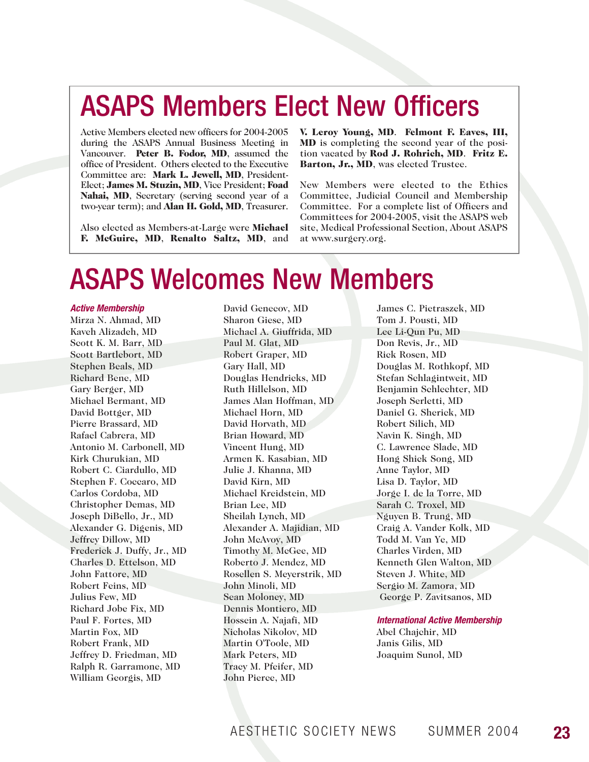# ASAPS Members Elect New Officers

Active Members elected new officers for 2004-2005 during the ASAPS Annual Business Meeting in Vancouver. Peter B. Fodor, MD, assumed the office of President. Others elected to the Executive Committee are: Mark L. Jewell, MD, President-Elect; James M. Stuzin, MD, Vice President; Foad Nahai, MD, Secretary (serving second year of a two-year term); and Alan H. Gold, MD, Treasurer.

Also elected as Members-at-Large were Michael F. McGuire, MD, Renalto Saltz, MD, and V. Leroy Young, MD. Felmont F. Eaves, III, MD is completing the second year of the position vacated by Rod J. Rohrich, MD. Fritz E. Barton, Jr., MD, was elected Trustee.

New Members were elected to the Ethics Committee, Judicial Council and Membership Committee. For a complete list of Officers and Committees for 2004-2005, visit the ASAPS web site, Medical Professional Section, About ASAPS at www.surgery.org.

# ASAPS Welcomes New Members

#### *Active Membership*

Mirza N. Ahmad, MD Kaveh Alizadeh, MD Scott K. M. Barr, MD Scott Bartlebort, MD Stephen Beals, MD Richard Bene, MD Gary Berger, MD Michael Bermant, MD David Bottger, MD Pierre Brassard, MD Rafael Cabrera, MD Antonio M. Carbonell, MD Kirk Churukian, MD Robert C. Ciardullo, MD Stephen F. Coccaro, MD Carlos Cordoba, MD Christopher Demas, MD Joseph DiBello, Jr., MD Alexander G. Digenis, MD Jeffrey Dillow, MD Frederick J. Duffy, Jr., MD Charles D. Ettelson, MD John Fattore, MD Robert Feins, MD Julius Few, MD Richard Jobe Fix, MD Paul F. Fortes, MD Martin Fox, MD Robert Frank, MD Jeffrey D. Friedman, MD Ralph R. Garramone, MD William Georgis, MD

David Genecov, MD Sharon Giese, MD Michael A. Giuffrida, MD Paul M. Glat, MD Robert Graper, MD Gary Hall, MD Douglas Hendricks, MD Ruth Hillelson, MD James Alan Hoffman, MD Michael Horn, MD David Horvath, MD Brian Howard, MD Vincent Hung, MD Armen K. Kasabian, MD Julie J. Khanna, MD David Kirn, MD Michael Kreidstein, MD Brian Lee, MD Sheilah Lynch, MD Alexander A. Majidian, MD John McAvoy, MD Timothy M. McGee, MD Roberto J. Mendez, MD Rosellen S. Meyerstrik, MD John Minoli, MD Sean Moloney, MD Dennis Montiero, MD Hossein A. Najafi, MD Nicholas Nikolov, MD Martin O'Toole, MD Mark Peters, MD Tracy M. Pfeifer, MD John Pierce, MD

James C. Pietraszek, MD Tom J. Pousti, MD Lee Li-Qun Pu, MD Don Revis, Jr., MD Rick Rosen, MD Douglas M. Rothkopf, MD Stefan Schlagintweit, MD Benjamin Schlechter, MD Joseph Serletti, MD Daniel G. Sherick, MD Robert Silich, MD Navin K. Singh, MD C. Lawrence Slade, MD Hong Shick Song, MD Anne Taylor, MD Lisa D. Taylor, MD Jorge I. de la Torre, MD Sarah C. Troxel, MD Nguyen B. Trung, MD Craig A. Vander Kolk, MD Todd M. Van Ye, MD Charles Virden, MD Kenneth Glen Walton, MD Steven J. White, MD Sergio M. Zamora, MD George P. Zavitsanos, MD

### *International Active Membership*

Abel Chajchir, MD Janis Gilis, MD Joaquim Sunol, MD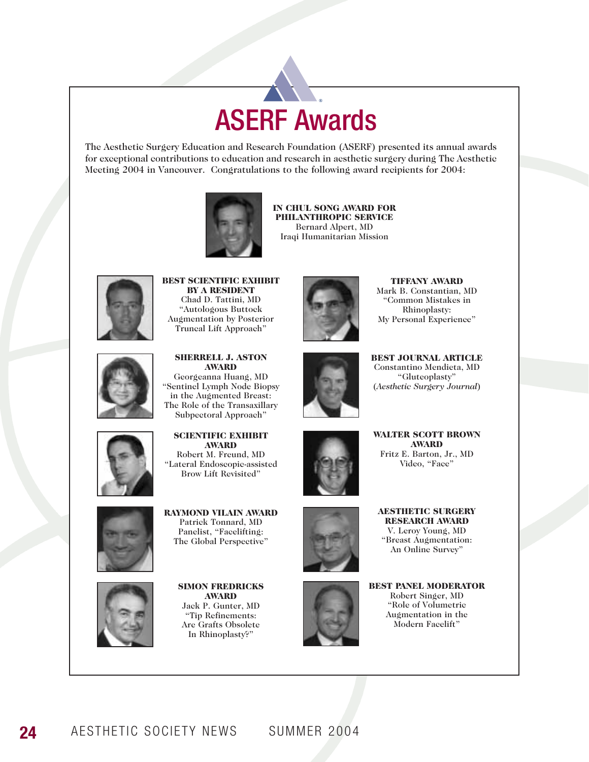## ASERF Awards **®**

The Aesthetic Surgery Education and Research Foundation (ASERF) presented its annual awards for exceptional contributions to education and research in aesthetic surgery during The Aesthetic Meeting 2004 in Vancouver. Congratulations to the following award recipients for 2004:



IN CHUL SONG AWARD FOR PHILANTHROPIC SERVICE Bernard Alpert, MD Iraqi Humanitarian Mission



BEST SCIENTIFIC EXHIBIT BY A RESIDENT Chad D. Tattini, MD "Autologous Buttock Augmentation by Posterior Truncal Lift Approach"



SHERRELL J. ASTON AWARD Georgeanna Huang, MD "Sentinel Lymph Node Biopsy in the Augmented Breast: The Role of the Transaxillary Subpectoral Approach"



TIFFANY AWARD Mark B. Constantian, MD "Common Mistakes in Rhinoplasty: My Personal Experience"



BEST JOURNAL ARTICLE Constantino Mendieta, MD "Gluteoplasty" (*Aesthetic Surgery Journal*)



SCIENTIFIC EXHIBIT AWARD Robert M. Freund, MD "Lateral Endoscopic-assisted Brow Lift Revisited"



RAYMOND VILAIN AWARD Patrick Tonnard, MD Panelist, "Facelifting: The Global Perspective"



AWARD Jack P. Gunter, MD "Tip Refinements: Are Grafts Obsolete In Rhinoplasty?"





AESTHETIC SURGERY RESEARCH AWARD V. Leroy Young, MD "Breast Augmentation: An Online Survey"





BEST PANEL MODERATOR Robert Singer, MD "Role of Volumetric Augmentation in the Modern Facelift"

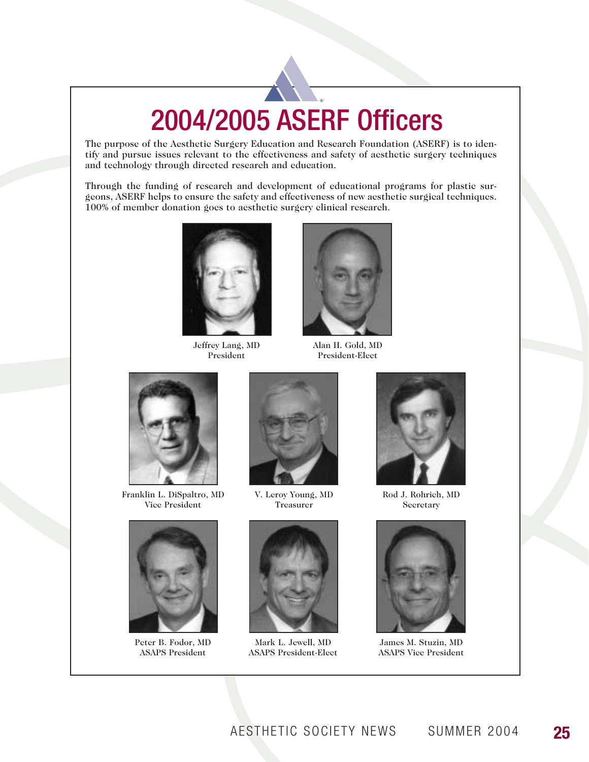# 2004/2005 ASERF Officers **®**

The purpose of the Aesthetic Surgery Education and Research Foundation (ASERF) is to identify and pursue issues relevant to the effectiveness and safety of aesthetic surgery techniques and technology through directed research and education.

Through the funding of research and development of educational programs for plastic surgeons, ASERF helps to ensure the safety and effectiveness of new aesthetic surgical techniques. 100% of member donation goes to aesthetic surgery clinical research.



Jeffrey Lang, MD President



Alan H. Gold, MD President-Elect



Franklin L. DiSpaltro, MD Vice President



Peter B. Fodor, MD ASAPS President



V. Leroy Young, MD Treasurer



Mark L. Jewell, MD ASAPS President-Elect



Rod J. Rohrich, MD Secretary



James M. Stuzin, MD ASAPS Vice President

AESTHETIC SOCIETY NEWS SUMMER 2004 **25**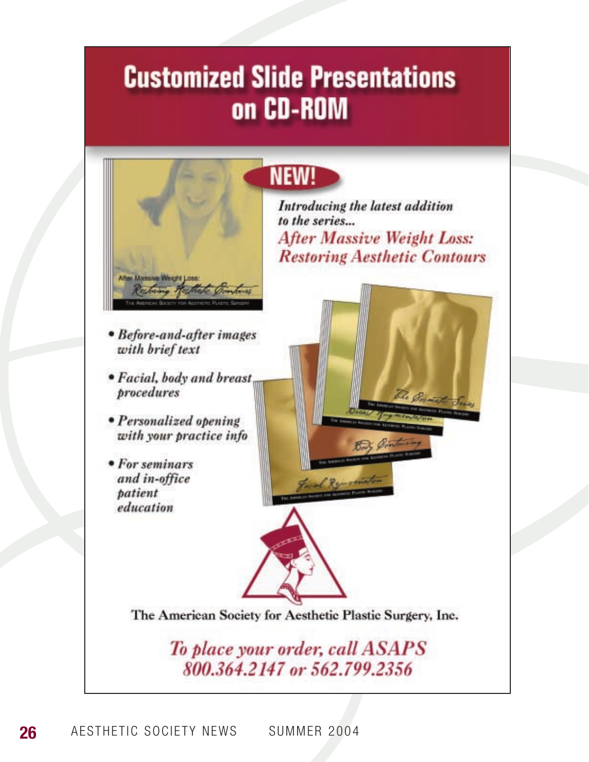# **Customized Slide Presentations** on CD-ROM



- Before-and-after images with brief text
- Facial, body and breast, procedures
- Personalized opening with your practice info
- For seminars and in-office patient education



Introducing the latest addition to the series... **After Massive Weight Loss: Restoring Aesthetic Contours** 



The American Society for Aesthetic Plastic Surgery, Inc.

To place your order, call ASAPS 800.364.2147 or 562.799.2356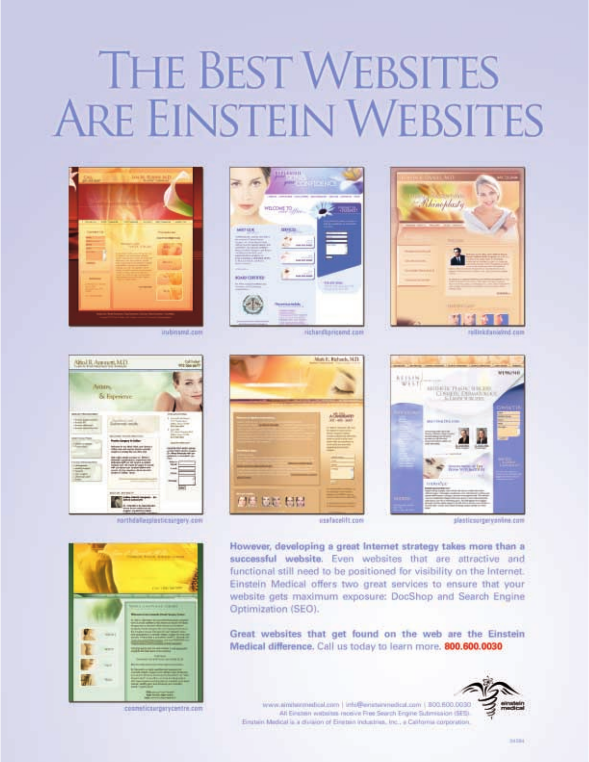# **THE BEST WEBSITES ARE EINSTEIN WEBSITES**



**NioUL America MD** 

Arthurs.

& Esprience

indiami.com





richardtoncond.com

usafacelift.com







cosmeticsurgerycentre.com





slesticsurgeryanine.com

However, developing a great internet strategy takes more than a successful website. Even websites that are attractive and functional still need to be positioned for visibility on the Internet. Einstein Medical offers two great services to ensure that your website gets maximum exposure: DocShop and Search Engine Optimization (SEO).

Great websites that get found on the web are the Einstein Medical difference. Call us today to learn more. 800.600.0030



www.aimbenmedical.com | info@enisteinedical.com | B00.600.0030 All Electron writtels modes Free Search Engine Submission (SES). Einstein Medidal la a chilaion of Einstein Industries, Inc., a California corporation.